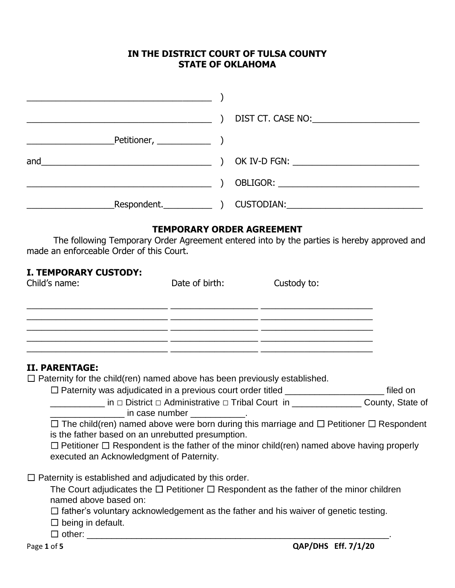## **IN THE DISTRICT COURT OF TULSA COUNTY STATE OF OKLAHOMA**

| <u> 2008 - Jan Barnett, martin amerikan basar dan basar dalam pengaran basar dalam pengaran basar dalam pengaran</u>                                                                                                                                                                                                                                               |                |                                           |  |
|--------------------------------------------------------------------------------------------------------------------------------------------------------------------------------------------------------------------------------------------------------------------------------------------------------------------------------------------------------------------|----------------|-------------------------------------------|--|
| <u> 1989 - Johann John Stein, mars an deus Amerikaansk kommunister (</u>                                                                                                                                                                                                                                                                                           | $\rightarrow$  | DIST CT. CASE NO: <b>William CASE NO:</b> |  |
|                                                                                                                                                                                                                                                                                                                                                                    |                |                                           |  |
|                                                                                                                                                                                                                                                                                                                                                                    | $\lambda$      |                                           |  |
|                                                                                                                                                                                                                                                                                                                                                                    |                |                                           |  |
|                                                                                                                                                                                                                                                                                                                                                                    |                |                                           |  |
|                                                                                                                                                                                                                                                                                                                                                                    |                |                                           |  |
| The following Temporary Order Agreement entered into by the parties is hereby approved and<br>made an enforceable Order of this Court.                                                                                                                                                                                                                             |                | <b>TEMPORARY ORDER AGREEMENT</b>          |  |
| <b>I. TEMPORARY CUSTODY:</b><br>Child's name:                                                                                                                                                                                                                                                                                                                      | Date of birth: | Custody to:                               |  |
|                                                                                                                                                                                                                                                                                                                                                                    |                |                                           |  |
| <u> 1990 - Januar James, Amerikaansk konstrukteur (* 1905)</u><br>II. PARENTAGE:<br>$\Box$ Paternity for the child(ren) named above has been previously established.<br>□ Paternity was adjudicated in a previous court order titled _________________________ filed on                                                                                            |                |                                           |  |
| <u>District</u> District D Administrative D Tribal Court in <u>New Allian County, State of</u> County, State of                                                                                                                                                                                                                                                    |                |                                           |  |
| ______________ in case number _____________.<br>$\Box$ The child(ren) named above were born during this marriage and $\Box$ Petitioner $\Box$ Respondent<br>is the father based on an unrebutted presumption.<br>$\Box$ Petitioner $\Box$ Respondent is the father of the minor child(ren) named above having properly<br>executed an Acknowledgment of Paternity. |                |                                           |  |
| $\Box$ Paternity is established and adjudicated by this order.<br>The Court adjudicates the $\Box$ Petitioner $\Box$ Respondent as the father of the minor children<br>named above based on:<br>$\Box$ father's voluntary acknowledgement as the father and his waiver of genetic testing.<br>$\Box$ being in default.                                             |                |                                           |  |
| Page 1 of 5                                                                                                                                                                                                                                                                                                                                                        |                | <b>QAP/DHS Eff. 7/1/20</b>                |  |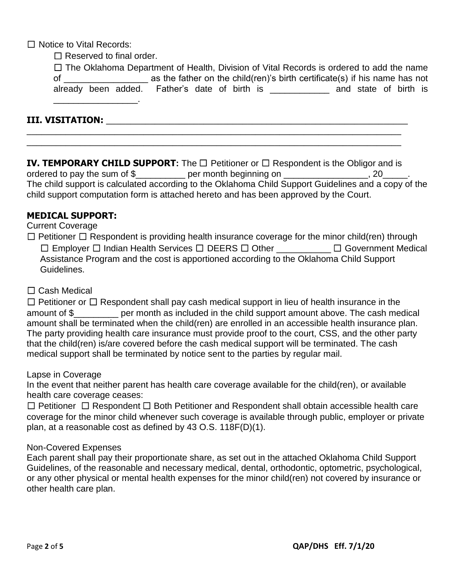☐ Notice to Vital Records:

 $\Box$  Reserved to final order.

|                                                                                 |  |                                               |  |  | $\Box$ The Oklahoma Department of Health, Division of Vital Records is ordered to add the name |                       |  |  |
|---------------------------------------------------------------------------------|--|-----------------------------------------------|--|--|------------------------------------------------------------------------------------------------|-----------------------|--|--|
| of                                                                              |  |                                               |  |  | as the father on the child (ren)'s birth certificate (s) if his name has not                   |                       |  |  |
|                                                                                 |  | already been added. Father's date of birth is |  |  |                                                                                                | and state of birth is |  |  |
| the contract of the contract of the contract of the contract of the contract of |  |                                               |  |  |                                                                                                |                       |  |  |

### **III. VISITATION:** \_\_\_\_\_\_\_\_\_\_\_\_\_\_\_\_\_\_\_\_\_\_\_\_\_\_\_\_\_\_\_\_\_\_\_\_\_\_\_\_\_\_\_\_\_\_\_\_\_\_\_\_\_\_\_\_\_\_\_\_\_\_

**IV. TEMPORARY CHILD SUPPORT:** The □ Petitioner or □ Respondent is the Obligor and is ordered to pay the sum of \$\_\_\_\_\_\_\_\_\_\_\_\_ per month beginning on \_\_\_\_\_\_\_\_\_\_\_\_\_\_\_\_\_, 20\_\_\_\_\_. The child support is calculated according to the Oklahoma Child Support Guidelines and a copy of the child support computation form is attached hereto and has been approved by the Court.

\_\_\_\_\_\_\_\_\_\_\_\_\_\_\_\_\_\_\_\_\_\_\_\_\_\_\_\_\_\_\_\_\_\_\_\_\_\_\_\_\_\_\_\_\_\_\_\_\_\_\_\_\_\_\_\_\_\_\_\_\_\_\_\_\_\_\_\_\_\_\_\_\_\_\_\_\_ \_\_\_\_\_\_\_\_\_\_\_\_\_\_\_\_\_\_\_\_\_\_\_\_\_\_\_\_\_\_\_\_\_\_\_\_\_\_\_\_\_\_\_\_\_\_\_\_\_\_\_\_\_\_\_\_\_\_\_\_\_\_\_\_\_\_\_\_\_\_\_\_\_\_\_\_\_

### **MEDICAL SUPPORT:**

#### Current Coverage

 $\Box$  Petitioner  $\Box$  Respondent is providing health insurance coverage for the minor child(ren) through ☐ Employer ☐ Indian Health Services ☐ DEERS ☐ Other \_\_\_\_\_\_\_\_\_\_\_ ☐ Government Medical Assistance Program and the cost is apportioned according to the Oklahoma Child Support Guidelines.

□ Cash Medical

 $\Box$  Petitioner or  $\Box$  Respondent shall pay cash medical support in lieu of health insurance in the amount of \$\_\_\_\_\_\_\_\_\_ per month as included in the child support amount above. The cash medical amount shall be terminated when the child(ren) are enrolled in an accessible health insurance plan. The party providing health care insurance must provide proof to the court, CSS, and the other party that the child(ren) is/are covered before the cash medical support will be terminated. The cash medical support shall be terminated by notice sent to the parties by regular mail.

#### Lapse in Coverage

In the event that neither parent has health care coverage available for the child(ren), or available health care coverage ceases:

☐ Petitioner ☐ Respondent ☐ Both Petitioner and Respondent shall obtain accessible health care coverage for the minor child whenever such coverage is available through public, employer or private plan, at a reasonable cost as defined by 43 O.S. 118F(D)(1).

### Non-Covered Expenses

Each parent shall pay their proportionate share, as set out in the attached Oklahoma Child Support Guidelines, of the reasonable and necessary medical, dental, orthodontic, optometric, psychological, or any other physical or mental health expenses for the minor child(ren) not covered by insurance or other health care plan.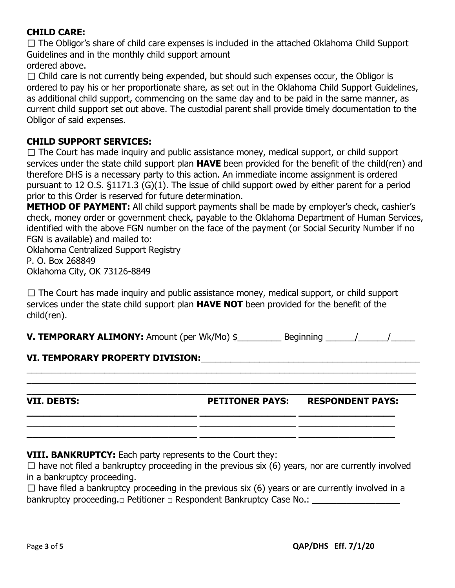## **CHILD CARE:**

 $\Box$  The Obligor's share of child care expenses is included in the attached Oklahoma Child Support Guidelines and in the monthly child support amount

ordered above.

 $\Box$  Child care is not currently being expended, but should such expenses occur, the Obligor is ordered to pay his or her proportionate share, as set out in the Oklahoma Child Support Guidelines, as additional child support, commencing on the same day and to be paid in the same manner, as current child support set out above. The custodial parent shall provide timely documentation to the Obligor of said expenses.

## **CHILD SUPPORT SERVICES:**

 $\Box$  The Court has made inquiry and public assistance money, medical support, or child support services under the state child support plan **HAVE** been provided for the benefit of the child(ren) and therefore DHS is a necessary party to this action. An immediate income assignment is ordered pursuant to 12 O.S. §1171.3 (G)(1). The issue of child support owed by either parent for a period prior to this Order is reserved for future determination.

**METHOD OF PAYMENT:** All child support payments shall be made by employer's check, cashier's check, money order or government check, payable to the Oklahoma Department of Human Services, identified with the above FGN number on the face of the payment (or Social Security Number if no FGN is available) and mailed to:

Oklahoma Centralized Support Registry

P. O. Box 268849 Oklahoma City, OK 73126-8849

 $\Box$  The Court has made inquiry and public assistance money, medical support, or child support services under the state child support plan **HAVE NOT** been provided for the benefit of the child(ren).

**V. TEMPORARY ALIMONY:** Amount (per Wk/Mo)  $\oint$  Beginning  $\left| \begin{array}{cc} 1 & 1 \\ 1 & 1 \end{array} \right|$ 

\_\_\_\_\_\_\_\_\_\_\_\_\_\_\_\_\_\_\_\_\_\_\_\_\_\_\_\_\_\_\_\_\_\_\_\_\_\_\_\_\_\_\_\_\_\_\_\_\_\_\_\_\_\_\_\_\_\_\_\_\_\_\_\_\_\_\_\_\_\_\_\_\_\_\_\_\_\_\_\_ \_\_\_\_\_\_\_\_\_\_\_\_\_\_\_\_\_\_\_\_\_\_\_\_\_\_\_\_\_\_\_\_\_\_\_\_\_\_\_\_\_\_\_\_\_\_\_\_\_\_\_\_\_\_\_\_\_\_\_\_\_\_\_\_\_\_\_\_\_\_\_\_\_\_\_\_\_\_\_\_ \_\_\_\_\_\_\_\_\_\_\_\_\_\_\_\_\_\_\_\_\_\_\_\_\_\_\_\_\_\_\_\_\_\_\_\_\_\_\_\_\_\_\_\_\_\_\_\_\_\_\_\_\_\_\_\_\_\_\_\_\_\_\_\_\_\_\_\_\_\_\_\_\_\_\_\_\_\_\_\_

**\_\_\_\_\_\_\_\_\_\_\_\_\_\_\_\_\_\_\_\_\_\_\_\_\_\_\_\_\_\_ \_\_\_\_\_\_\_\_\_\_\_\_\_\_\_\_\_ \_\_\_\_\_\_\_\_\_\_\_\_\_\_\_\_\_ \_\_\_\_\_\_\_\_\_\_\_\_\_\_\_\_\_\_\_\_\_\_\_\_\_\_\_\_\_\_ \_\_\_\_\_\_\_\_\_\_\_\_\_\_\_\_\_ \_\_\_\_\_\_\_\_\_\_\_\_\_\_\_\_\_ \_\_\_\_\_\_\_\_\_\_\_\_\_\_\_\_\_\_\_\_\_\_\_\_\_\_\_\_\_\_ \_\_\_\_\_\_\_\_\_\_\_\_\_\_\_\_\_ \_\_\_\_\_\_\_\_\_\_\_\_\_\_\_\_\_**

# **VI. TEMPORARY PROPERTY DIVISION:**\_\_\_\_\_\_\_\_\_\_\_\_\_\_\_\_\_\_\_\_\_\_\_\_\_\_\_\_\_\_\_\_\_\_\_\_\_\_\_\_\_\_\_\_\_

**VII. DEBTS: PETITONER PAYS: RESPONDENT PAYS:**

**VIII. BANKRUPTCY:** Each party represents to the Court they:

 $\Box$  have not filed a bankruptcy proceeding in the previous six (6) years, nor are currently involved in a bankruptcy proceeding.

 $\Box$  have filed a bankruptcy proceeding in the previous six (6) years or are currently involved in a bankruptcy proceeding.**□** Petitioner **□** Respondent Bankruptcy Case No.: \_\_\_\_\_\_\_\_\_\_\_\_\_\_\_\_\_\_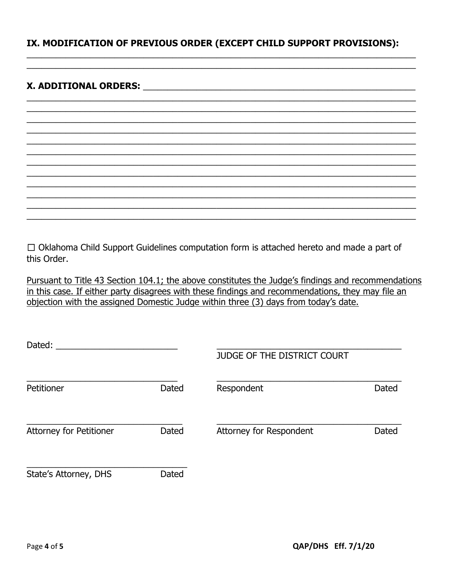## IX. MODIFICATION OF PREVIOUS ORDER (EXCEPT CHILD SUPPORT PROVISIONS):

### 

 $\Box$  Oklahoma Child Support Guidelines computation form is attached hereto and made a part of this Order.

Pursuant to Title 43 Section 104.1; the above constitutes the Judge's findings and recommendations in this case. If either party disagrees with these findings and recommendations, they may file an objection with the assigned Domestic Judge within three (3) days from today's date.

| Dated:                         |       | <b>JUDGE OF THE DISTRICT COURT</b> |              |
|--------------------------------|-------|------------------------------------|--------------|
| Petitioner                     | Dated | Respondent                         | <b>Dated</b> |
| <b>Attorney for Petitioner</b> | Dated | Attorney for Respondent            | Dated        |
| State's Attorney, DHS          | Dated |                                    |              |